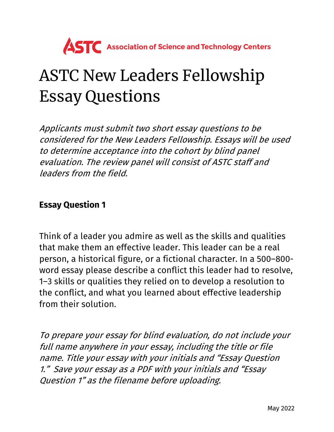

## ASTC New Leaders Fellowship Essay Questions

Applicants must submit two short essay questions to be considered for the New Leaders Fellowship. Essays will be used to determine acceptance into the cohort by blind panel evaluation. The review panel will consist of ASTC staff and leaders from the field.

## Essay Question 1

Think of a leader you admire as well as the skills and qualities that make them an effective leader. This leader can be a real person, a historical figure, or a fictional character. In a 500–800 word essay please describe a conflict this leader had to resolve, 1–3 skills or qualities they relied on to develop a resolution to the conflict, and what you learned about effective leadership from their solution.

To prepare your essay for blind evaluation, do not include your full name anywhere in your essay, including the title or file name. Title your essay with your initials and "Essay Question 1." Save your essay as a PDF with your initials and "Essay Question 1" as the filename before uploading.